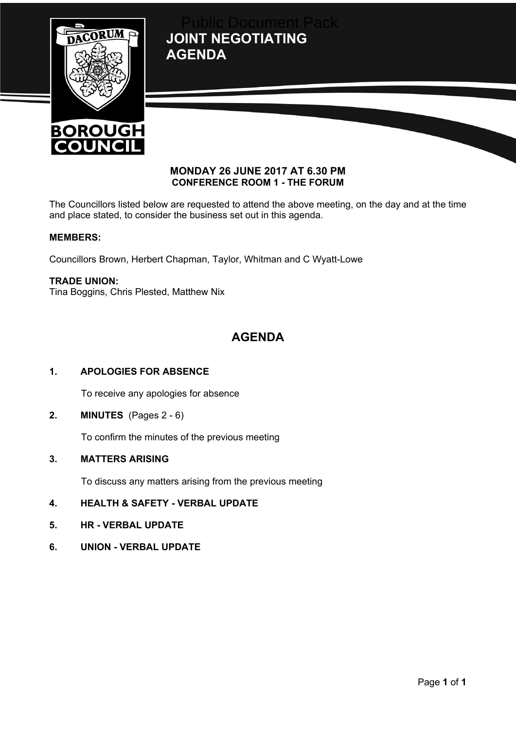**JOINT NEGOTIATING AGENDA** Public Document Pack





# **MONDAY 26 JUNE 2017 AT 6.30 PM CONFERENCE ROOM 1 - THE FORUM**

The Councillors listed below are requested to attend the above meeting, on the day and at the time and place stated, to consider the business set out in this agenda.

# **MEMBERS:**

Councillors Brown, Herbert Chapman, Taylor, Whitman and C Wyatt-Lowe

# **TRADE UNION:**

Tina Boggins, Chris Plested, Matthew Nix

# **AGENDA**

# **1. APOLOGIES FOR ABSENCE**

To receive any apologies for absence

**2. MINUTES** (Pages 2 - 6)

To confirm the minutes of the previous meeting

#### **3. MATTERS ARISING**

To discuss any matters arising from the previous meeting

- **4. HEALTH & SAFETY - VERBAL UPDATE**
- **5. HR - VERBAL UPDATE**
- **6. UNION - VERBAL UPDATE**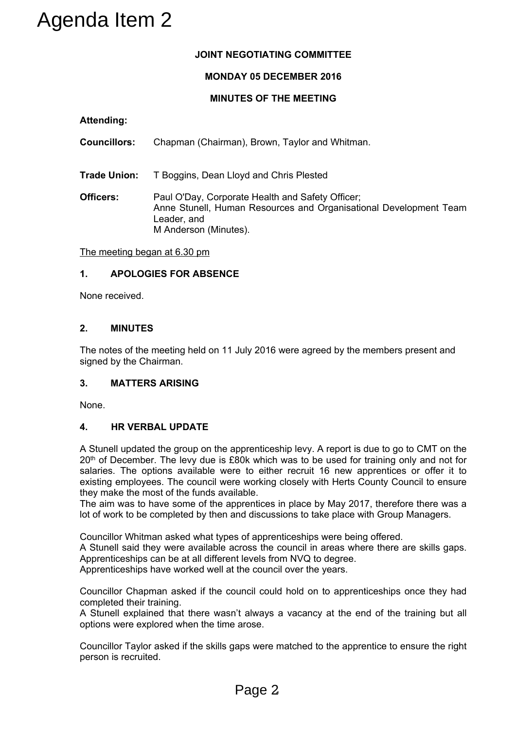# **JOINT NEGOTIATING COMMITTEE**

# **MONDAY 05 DECEMBER 2016**

# **MINUTES OF THE MEETING**

**Attending:**

**Councillors:** Chapman (Chairman), Brown, Taylor and Whitman.

**Trade Union:** T Boggins, Dean Lloyd and Chris Plested

**Officers:** Paul O'Day, Corporate Health and Safety Officer; Anne Stunell, Human Resources and Organisational Development Team Leader, and M Anderson (Minutes).

The meeting began at 6.30 pm

# **1. APOLOGIES FOR ABSENCE**

None received.

# **2. MINUTES**

The notes of the meeting held on 11 July 2016 were agreed by the members present and signed by the Chairman.

# **3. MATTERS ARISING**

None.

# **4. HR VERBAL UPDATE**

A Stunell updated the group on the apprenticeship levy. A report is due to go to CMT on the 20<sup>th</sup> of December. The levy due is £80k which was to be used for training only and not for salaries. The options available were to either recruit 16 new apprentices or offer it to existing employees. The council were working closely with Herts County Council to ensure they make the most of the funds available. Solution 19 UNIT NEGOTIAT MONDAY AS DEVIDENT MONDAY AS DEVIDENCING:<br>
MINUTES OF THE MINUTES OF THE MINUTES OF THE MINUTES OF THE MINUTES OF THE MINUTES OF THE MINUTES OF THE MINUTES CHANNER CHANNER CHANNER CHANNER CHANNER

The aim was to have some of the apprentices in place by May 2017, therefore there was a lot of work to be completed by then and discussions to take place with Group Managers.

Councillor Whitman asked what types of apprenticeships were being offered.

A Stunell said they were available across the council in areas where there are skills gaps. Apprenticeships can be at all different levels from NVQ to degree.

Apprenticeships have worked well at the council over the years.

Councillor Chapman asked if the council could hold on to apprenticeships once they had completed their training.

A Stunell explained that there wasn't always a vacancy at the end of the training but all options were explored when the time arose.

Councillor Taylor asked if the skills gaps were matched to the apprentice to ensure the right person is recruited.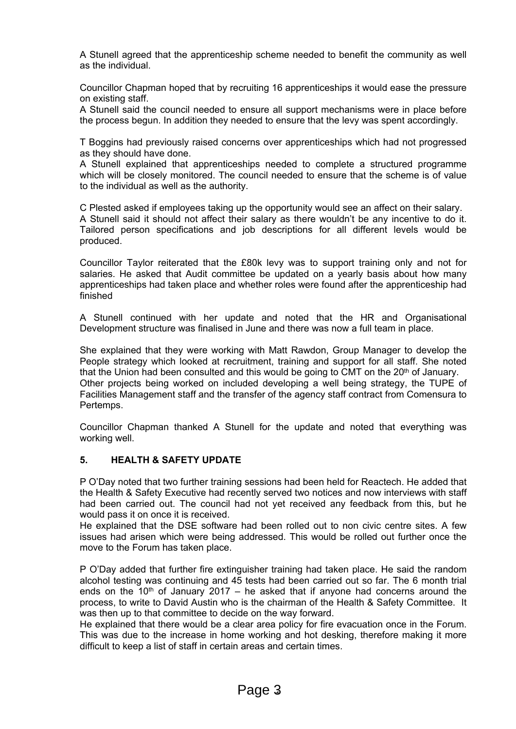A Stunell agreed that the apprenticeship scheme needed to benefit the community as well as the individual.

Councillor Chapman hoped that by recruiting 16 apprenticeships it would ease the pressure on existing staff.

A Stunell said the council needed to ensure all support mechanisms were in place before the process begun. In addition they needed to ensure that the levy was spent accordingly.

T Boggins had previously raised concerns over apprenticeships which had not progressed as they should have done.

A Stunell explained that apprenticeships needed to complete a structured programme which will be closely monitored. The council needed to ensure that the scheme is of value to the individual as well as the authority.

C Plested asked if employees taking up the opportunity would see an affect on their salary. A Stunell said it should not affect their salary as there wouldn't be any incentive to do it. Tailored person specifications and job descriptions for all different levels would be produced.

Councillor Taylor reiterated that the £80k levy was to support training only and not for salaries. He asked that Audit committee be updated on a yearly basis about how many apprenticeships had taken place and whether roles were found after the apprenticeship had finished

A Stunell continued with her update and noted that the HR and Organisational Development structure was finalised in June and there was now a full team in place.

She explained that they were working with Matt Rawdon, Group Manager to develop the People strategy which looked at recruitment, training and support for all staff. She noted that the Union had been consulted and this would be going to CMT on the 20<sup>th</sup> of January. Other projects being worked on included developing a well being strategy, the TUPE of Facilities Management staff and the transfer of the agency staff contract from Comensura to Pertemps.

Councillor Chapman thanked A Stunell for the update and noted that everything was working well.

# **5. HEALTH & SAFETY UPDATE**

P O'Day noted that two further training sessions had been held for Reactech. He added that the Health & Safety Executive had recently served two notices and now interviews with staff had been carried out. The council had not yet received any feedback from this, but he would pass it on once it is received.

He explained that the DSE software had been rolled out to non civic centre sites. A few issues had arisen which were being addressed. This would be rolled out further once the move to the Forum has taken place.

P O'Day added that further fire extinguisher training had taken place. He said the random alcohol testing was continuing and 45 tests had been carried out so far. The 6 month trial ends on the  $10<sup>th</sup>$  of January 2017 – he asked that if anyone had concerns around the process, to write to David Austin who is the chairman of the Health & Safety Committee. It was then up to that committee to decide on the way forward.

He explained that there would be a clear area policy for fire evacuation once in the Forum. This was due to the increase in home working and hot desking, therefore making it more difficult to keep a list of staff in certain areas and certain times.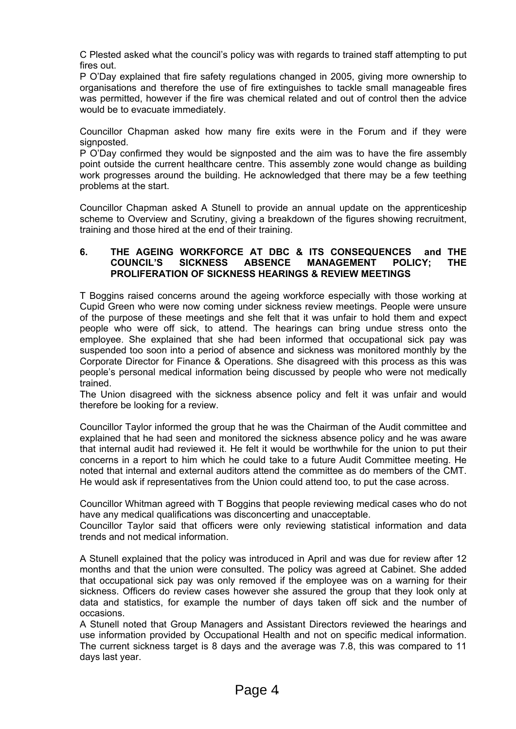C Plested asked what the council's policy was with regards to trained staff attempting to put fires out.

P O'Day explained that fire safety regulations changed in 2005, giving more ownership to organisations and therefore the use of fire extinguishes to tackle small manageable fires was permitted, however if the fire was chemical related and out of control then the advice would be to evacuate immediately.

Councillor Chapman asked how many fire exits were in the Forum and if they were signposted.

P O'Day confirmed they would be signposted and the aim was to have the fire assembly point outside the current healthcare centre. This assembly zone would change as building work progresses around the building. He acknowledged that there may be a few teething problems at the start.

Councillor Chapman asked A Stunell to provide an annual update on the apprenticeship scheme to Overview and Scrutiny, giving a breakdown of the figures showing recruitment, training and those hired at the end of their training.

#### **6. THE AGEING WORKFORCE AT DBC & ITS CONSEQUENCES and THE COUNCIL'S SICKNESS ABSENCE MANAGEMENT POLICY; THE PROLIFERATION OF SICKNESS HEARINGS & REVIEW MEETINGS**

T Boggins raised concerns around the ageing workforce especially with those working at Cupid Green who were now coming under sickness review meetings. People were unsure of the purpose of these meetings and she felt that it was unfair to hold them and expect people who were off sick, to attend. The hearings can bring undue stress onto the employee. She explained that she had been informed that occupational sick pay was suspended too soon into a period of absence and sickness was monitored monthly by the Corporate Director for Finance & Operations. She disagreed with this process as this was people's personal medical information being discussed by people who were not medically trained.

The Union disagreed with the sickness absence policy and felt it was unfair and would therefore be looking for a review.

Councillor Taylor informed the group that he was the Chairman of the Audit committee and explained that he had seen and monitored the sickness absence policy and he was aware that internal audit had reviewed it. He felt it would be worthwhile for the union to put their concerns in a report to him which he could take to a future Audit Committee meeting. He noted that internal and external auditors attend the committee as do members of the CMT. He would ask if representatives from the Union could attend too, to put the case across.

Councillor Whitman agreed with T Boggins that people reviewing medical cases who do not have any medical qualifications was disconcerting and unacceptable.

Councillor Taylor said that officers were only reviewing statistical information and data trends and not medical information.

A Stunell explained that the policy was introduced in April and was due for review after 12 months and that the union were consulted. The policy was agreed at Cabinet. She added that occupational sick pay was only removed if the employee was on a warning for their sickness. Officers do review cases however she assured the group that they look only at data and statistics, for example the number of days taken off sick and the number of occasions.

A Stunell noted that Group Managers and Assistant Directors reviewed the hearings and use information provided by Occupational Health and not on specific medical information. The current sickness target is 8 days and the average was 7.8, this was compared to 11 days last year.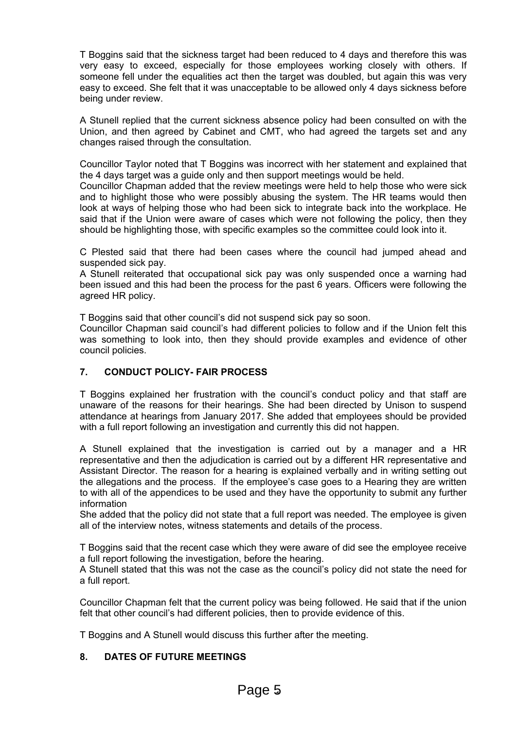T Boggins said that the sickness target had been reduced to 4 days and therefore this was very easy to exceed, especially for those employees working closely with others. If someone fell under the equalities act then the target was doubled, but again this was very easy to exceed. She felt that it was unacceptable to be allowed only 4 days sickness before being under review.

A Stunell replied that the current sickness absence policy had been consulted on with the Union, and then agreed by Cabinet and CMT, who had agreed the targets set and any changes raised through the consultation.

Councillor Taylor noted that T Boggins was incorrect with her statement and explained that the 4 days target was a guide only and then support meetings would be held.

Councillor Chapman added that the review meetings were held to help those who were sick and to highlight those who were possibly abusing the system. The HR teams would then look at ways of helping those who had been sick to integrate back into the workplace. He said that if the Union were aware of cases which were not following the policy, then they should be highlighting those, with specific examples so the committee could look into it.

C Plested said that there had been cases where the council had jumped ahead and suspended sick pay.

A Stunell reiterated that occupational sick pay was only suspended once a warning had been issued and this had been the process for the past 6 years. Officers were following the agreed HR policy.

T Boggins said that other council's did not suspend sick pay so soon.

Councillor Chapman said council's had different policies to follow and if the Union felt this was something to look into, then they should provide examples and evidence of other council policies.

# **7. CONDUCT POLICY- FAIR PROCESS**

T Boggins explained her frustration with the council's conduct policy and that staff are unaware of the reasons for their hearings. She had been directed by Unison to suspend attendance at hearings from January 2017. She added that employees should be provided with a full report following an investigation and currently this did not happen.

A Stunell explained that the investigation is carried out by a manager and a HR representative and then the adjudication is carried out by a different HR representative and Assistant Director. The reason for a hearing is explained verbally and in writing setting out the allegations and the process. If the employee's case goes to a Hearing they are written to with all of the appendices to be used and they have the opportunity to submit any further information

She added that the policy did not state that a full report was needed. The employee is given all of the interview notes, witness statements and details of the process.

T Boggins said that the recent case which they were aware of did see the employee receive a full report following the investigation, before the hearing.

A Stunell stated that this was not the case as the council's policy did not state the need for a full report.

Councillor Chapman felt that the current policy was being followed. He said that if the union felt that other council's had different policies, then to provide evidence of this.

T Boggins and A Stunell would discuss this further after the meeting.

# **8. DATES OF FUTURE MEETINGS**